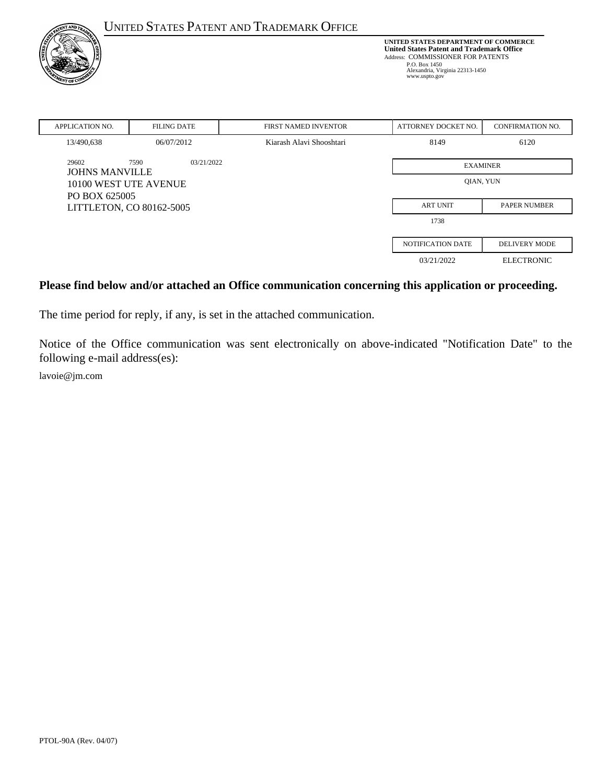| <b>TNT AND TH</b>                                                  |                    | <b>UNITED STATES PATENT AND TRADEMARK OFFICE</b>                                                                                                                                                   |                          |                         |
|--------------------------------------------------------------------|--------------------|----------------------------------------------------------------------------------------------------------------------------------------------------------------------------------------------------|--------------------------|-------------------------|
| NT OF C                                                            |                    | UNITED STATES DEPARTMENT OF COMMERCE<br><b>United States Patent and Trademark Office</b><br>Address: COMMISSIONER FOR PATENTS<br>P.O. Box 1450<br>Alexandria, Virginia 22313-1450<br>www.uspto.gov |                          |                         |
| <b>APPLICATION NO.</b>                                             | <b>FILING DATE</b> | <b>FIRST NAMED INVENTOR</b>                                                                                                                                                                        | ATTORNEY DOCKET NO.      | <b>CONFIRMATION NO.</b> |
| 13/490,638                                                         | 06/07/2012         | Kiarash Alavi Shooshtari                                                                                                                                                                           | 8149                     | 6120                    |
| 29602<br>7590<br>03/21/2022<br><b>JOHNS MANVILLE</b>               |                    |                                                                                                                                                                                                    | <b>EXAMINER</b>          |                         |
| 10100 WEST UTE AVENUE<br>PO BOX 625005<br>LITTLETON, CO 80162-5005 |                    |                                                                                                                                                                                                    | QIAN, YUN                |                         |
|                                                                    |                    |                                                                                                                                                                                                    | <b>ART UNIT</b>          | <b>PAPER NUMBER</b>     |
|                                                                    |                    |                                                                                                                                                                                                    | 1738                     |                         |
|                                                                    |                    |                                                                                                                                                                                                    | <b>NOTIFICATION DATE</b> | <b>DELIVERY MODE</b>    |
|                                                                    |                    |                                                                                                                                                                                                    | 03/21/2022               | <b>ELECTRONIC</b>       |

#### **Please find below and/or attached an Office communication concerning this application or proceeding.**

The time period for reply, if any, is set in the attached communication.

Notice of the Office communication was sent electronically on above-indicated "Notification Date" to the following e-mail address(es):

lavoie@jm.com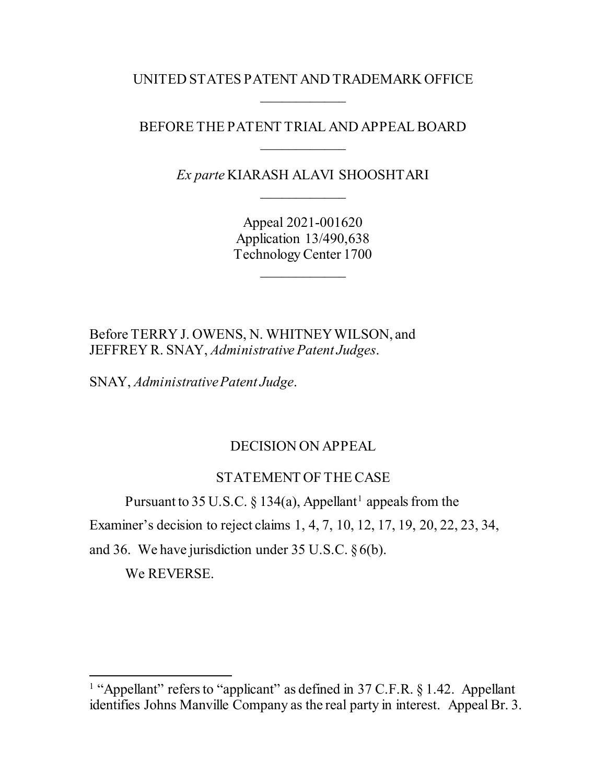UNITED STATES PATENT AND TRADEMARK OFFICE  $\overline{\phantom{a}}$ 

## BEFORE THE PATENT TRIAL AND APPEAL BOARD  $\overline{\phantom{a}}$

*Ex parte* KIARASH ALAVI SHOOSHTARI  $\overline{\phantom{a}}$ 

> Appeal 2021-001620 Application 13/490,638 Technology Center 1700

> > $\overline{\phantom{a}}$

Before TERRY J. OWENS, N. WHITNEY WILSON, and JEFFREY R. SNAY, *Administrative Patent Judges*.

SNAY, *Administrative Patent Judge*.

# DECISION ON APPEAL

# STATEMENT OF THE CASE

Pursuant to 35 U.S.C. § [1](#page-1-0)34(a), Appellant<sup>1</sup> appeals from the

Examiner's decision to reject claims 1, 4, 7, 10, 12, 17, 19, 20, 22, 23, 34,

and 36. We have jurisdiction under 35 U.S.C. §6(b).

We REVERSE.

<span id="page-1-0"></span><sup>&</sup>lt;sup>1</sup> "Appellant" refers to "applicant" as defined in  $37$  C.F.R. § 1.42. Appellant identifies Johns Manville Company as the real party in interest. Appeal Br. 3.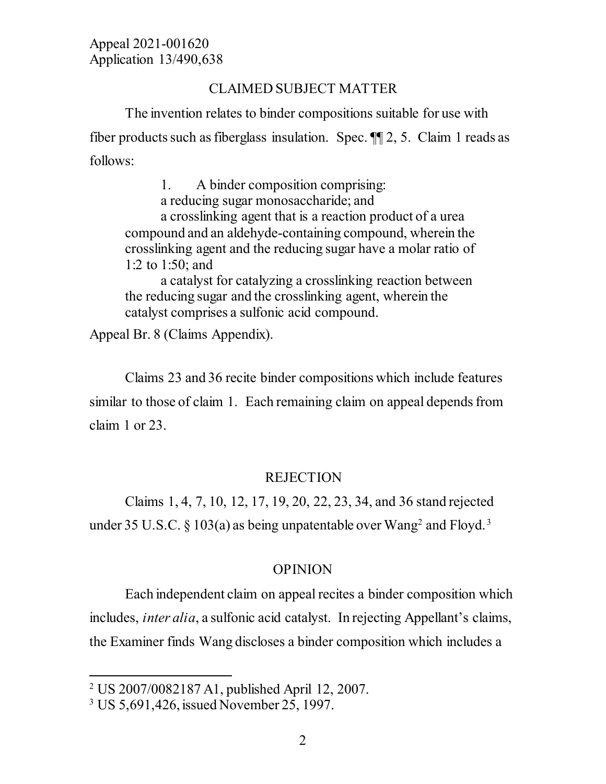## CLAIMED SUBJECT MATTER

The invention relates to binder compositions suitable for use with fiber products such as fiberglass insulation. Spec. ¶¶ 2, 5. Claim 1 reads as follows:

1. A binder composition comprising: a reducing sugar monosaccharide; and a crosslinking agent that is a reaction product of a urea compound and an aldehyde-containing compound, wherein the crosslinking agent and the reducing sugar have a molar ratio of 1:2 to 1:50; and

a catalyst for catalyzing a crosslinking reaction between the reducing sugar and the crosslinking agent, wherein the catalyst comprises a sulfonic acid compound.

Appeal Br. 8 (Claims Appendix).

Claims 23 and 36 recite binder compositions which include features similar to those of claim 1. Each remaining claim on appeal depends from claim 1 or 23.

# REJECTION

Claims 1, 4, 7, 10, 12, 17, 19, 20, 22, 23, 34, and 36 stand rejected under [3](#page-2-1)5 U.S.C. § 103(a) as being unpatentable over Wang<sup>2</sup> and Floyd.<sup>3</sup>

### OPINION

Each independent claim on appeal recites a binder composition which includes, *inter alia*, a sulfonic acid catalyst. In rejecting Appellant's claims, the Examiner finds Wang discloses a binder composition which includes a

<span id="page-2-0"></span> <sup>2</sup> US 2007/0082187 A1, published April 12, 2007.

<span id="page-2-1"></span><sup>3</sup> US 5,691,426, issued November 25, 1997.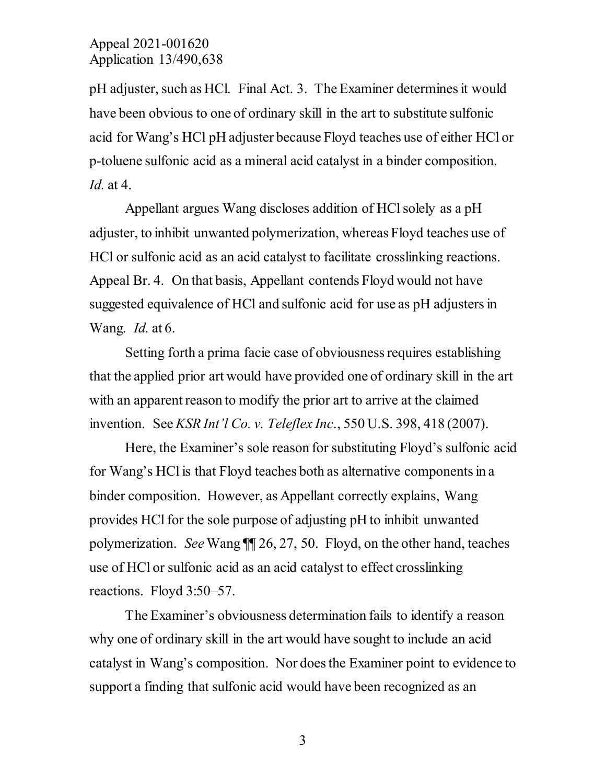### Appeal 2021-001620 Application 13/490,638

pH adjuster, such as HCl. Final Act. 3. The Examiner determines it would have been obvious to one of ordinary skill in the art to substitute sulfonic acid for Wang's HCl pH adjuster because Floyd teaches use of either HCl or p-toluene sulfonic acid as a mineral acid catalyst in a binder composition. *Id.* at 4.

Appellant argues Wang discloses addition of HCl solely as a pH adjuster, to inhibit unwanted polymerization, whereas Floyd teaches use of HCl or sulfonic acid as an acid catalyst to facilitate crosslinking reactions. Appeal Br. 4. On that basis, Appellant contends Floyd would not have suggested equivalence of HCl and sulfonic acid for use as pH adjusters in Wang. *Id.* at 6.

Setting forth a prima facie case of obviousness requires establishing that the applied prior art would have provided one of ordinary skill in the art with an apparent reason to modify the prior art to arrive at the claimed invention. See *KSR Int'l Co. v. Teleflex Inc*., 550 U.S. 398, 418 (2007).

Here, the Examiner's sole reason for substituting Floyd's sulfonic acid for Wang's HCl is that Floyd teaches both as alternative components in a binder composition. However, as Appellant correctly explains, Wang provides HCl for the sole purpose of adjusting pH to inhibit unwanted polymerization. *See* Wang ¶¶ 26, 27, 50. Floyd, on the other hand, teaches use of HCl or sulfonic acid as an acid catalyst to effect crosslinking reactions. Floyd 3:50–57.

The Examiner's obviousness determination fails to identify a reason why one of ordinary skill in the art would have sought to include an acid catalyst in Wang's composition. Nor does the Examiner point to evidence to support a finding that sulfonic acid would have been recognized as an

3